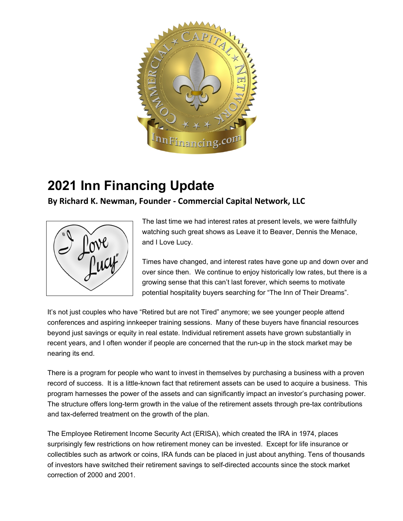

## **2021 Inn Financing Update**

## **By Richard K. Newman, Founder - Commercial Capital Network, LLC**



The last time we had interest rates at present levels, we were faithfully watching such great shows as Leave it to Beaver, Dennis the Menace, and I Love Lucy.

Times have changed, and interest rates have gone up and down over and over since then. We continue to enjoy historically low rates, but there is a growing sense that this can't last forever, which seems to motivate potential hospitality buyers searching for "The Inn of Their Dreams".

It's not just couples who have "Retired but are not Tired" anymore; we see younger people attend conferences and aspiring innkeeper training sessions. Many of these buyers have financial resources beyond just savings or equity in real estate. Individual retirement assets have grown substantially in recent years, and I often wonder if people are concerned that the run-up in the stock market may be nearing its end.

There is a program for people who want to invest in themselves by purchasing a business with a proven record of success. It is a little-known fact that retirement assets can be used to acquire a business. This program harnesses the power of the assets and can significantly impact an investor's purchasing power. The structure offers long-term growth in the value of the retirement assets through pre-tax contributions and tax-deferred treatment on the growth of the plan.

The Employee Retirement Income Security Act (ERISA), which created the IRA in 1974, places surprisingly few restrictions on how retirement money can be invested. Except for life insurance or collectibles such as artwork or coins, IRA funds can be placed in just about anything. Tens of thousands of investors have switched their retirement savings to self-directed accounts since the stock market correction of 2000 and 2001.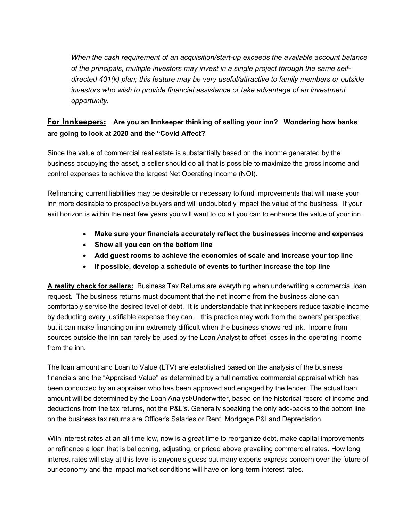*When the cash requirement of an acquisition/start-up exceeds the available account balance of the principals, multiple investors may invest in a single project through the same selfdirected 401(k) plan; this feature may be very useful/attractive to family members or outside investors who wish to provide financial assistance or take advantage of an investment opportunity.*

## **For Innkeepers: Are you an Innkeeper thinking of selling your inn? Wondering how banks are going to look at 2020 and the "Covid Affect?**

Since the value of commercial real estate is substantially based on the income generated by the business occupying the asset, a seller should do all that is possible to maximize the gross income and control expenses to achieve the largest Net Operating Income (NOI).

Refinancing current liabilities may be desirable or necessary to fund improvements that will make your inn more desirable to prospective buyers and will undoubtedly impact the value of the business. If your exit horizon is within the next few years you will want to do all you can to enhance the value of your inn.

- **Make sure your financials accurately reflect the businesses income and expenses**
- **Show all you can on the bottom line**
- **Add guest rooms to achieve the economies of scale and increase your top line**
- **If possible, develop a schedule of events to further increase the top line**

**A reality check for sellers:** Business Tax Returns are everything when underwriting a commercial loan request. The business returns must document that the net income from the business alone can comfortably service the desired level of debt. It is understandable that innkeepers reduce taxable income by deducting every justifiable expense they can… this practice may work from the owners' perspective, but it can make financing an inn extremely difficult when the business shows red ink. Income from sources outside the inn can rarely be used by the Loan Analyst to offset losses in the operating income from the inn.

The loan amount and Loan to Value (LTV) are established based on the analysis of the business financials and the "Appraised Value" as determined by a full narrative commercial appraisal which has been conducted by an appraiser who has been approved and engaged by the lender. The actual loan amount will be determined by the Loan Analyst/Underwriter, based on the historical record of income and deductions from the tax returns, not the P&L's. Generally speaking the only add-backs to the bottom line on the business tax returns are Officer's Salaries or Rent, Mortgage P&I and Depreciation.

With interest rates at an all-time low, now is a great time to reorganize debt, make capital improvements or refinance a loan that is ballooning, adjusting, or priced above prevailing commercial rates. How long interest rates will stay at this level is anyone's guess but many experts express concern over the future of our economy and the impact market conditions will have on long-term interest rates.